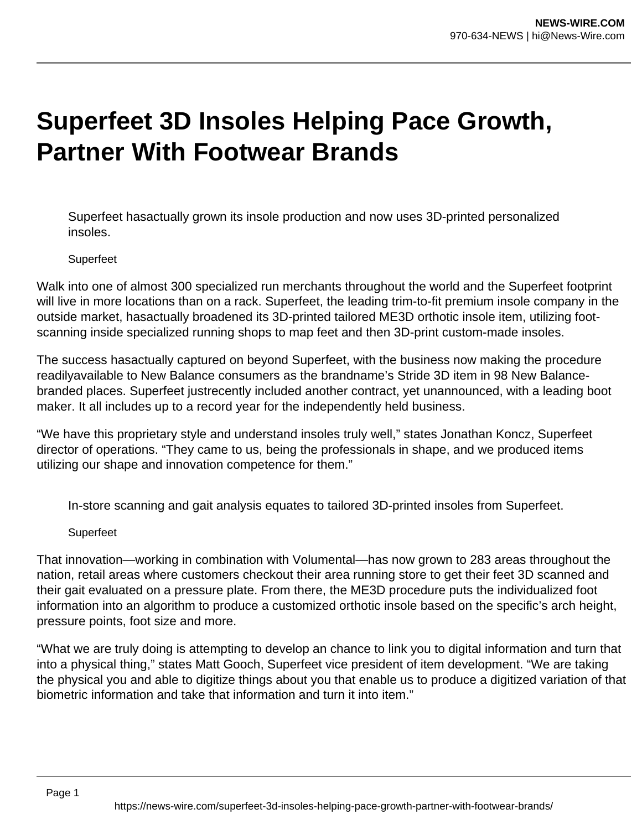# **Superfeet 3D Insoles Helping Pace Growth, Partner With Footwear Brands**

Superfeet hasactually grown its insole production and now uses 3D-printed personalized insoles.

### **Superfeet**

Walk into one of almost 300 specialized run merchants throughout the world and the Superfeet footprint will live in more locations than on a rack. Superfeet, the leading trim-to-fit premium insole company in the outside market, hasactually broadened its 3D-printed tailored ME3D orthotic insole item, utilizing footscanning inside specialized running shops to map feet and then 3D-print custom-made insoles.

The success hasactually captured on beyond Superfeet, with the business now making the procedure readilyavailable to New Balance consumers as the brandname's Stride 3D item in 98 New Balancebranded places. Superfeet justrecently included another contract, yet unannounced, with a leading boot maker. It all includes up to a record year for the independently held business.

"We have this proprietary style and understand insoles truly well," states Jonathan Koncz, Superfeet director of operations. "They came to us, being the professionals in shape, and we produced items utilizing our shape and innovation competence for them."

In-store scanning and gait analysis equates to tailored 3D-printed insoles from Superfeet.

#### **Superfeet**

That innovation—working in combination with Volumental—has now grown to 283 areas throughout the nation, retail areas where customers checkout their area running store to get their feet 3D scanned and their gait evaluated on a pressure plate. From there, the ME3D procedure puts the individualized foot information into an algorithm to produce a customized orthotic insole based on the specific's arch height, pressure points, foot size and more.

"What we are truly doing is attempting to develop an chance to link you to digital information and turn that into a physical thing," states Matt Gooch, Superfeet vice president of item development. "We are taking the physical you and able to digitize things about you that enable us to produce a digitized variation of that biometric information and take that information and turn it into item."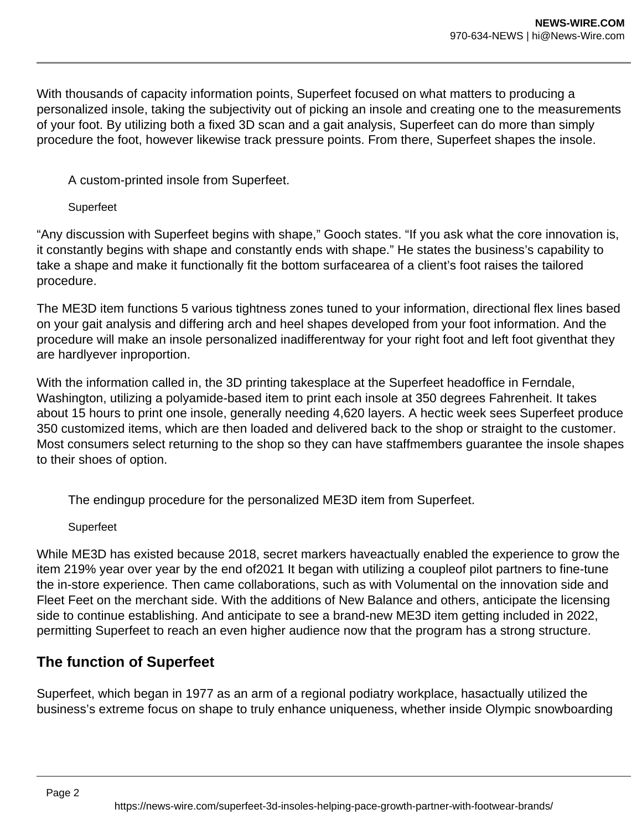With thousands of capacity information points, Superfeet focused on what matters to producing a personalized insole, taking the subjectivity out of picking an insole and creating one to the measurements of your foot. By utilizing both a fixed 3D scan and a gait analysis, Superfeet can do more than simply procedure the foot, however likewise track pressure points. From there, Superfeet shapes the insole.

A custom-printed insole from Superfeet.

## Superfeet

"Any discussion with Superfeet begins with shape," Gooch states. "If you ask what the core innovation is, it constantly begins with shape and constantly ends with shape." He states the business's capability to take a shape and make it functionally fit the bottom surfacearea of a client's foot raises the tailored procedure.

The ME3D item functions 5 various tightness zones tuned to your information, directional flex lines based on your gait analysis and differing arch and heel shapes developed from your foot information. And the procedure will make an insole personalized inadifferentway for your right foot and left foot giventhat they are hardlyever inproportion.

With the information called in, the 3D printing takesplace at the Superfeet headoffice in Ferndale, Washington, utilizing a polyamide-based item to print each insole at 350 degrees Fahrenheit. It takes about 15 hours to print one insole, generally needing 4,620 layers. A hectic week sees Superfeet produce 350 customized items, which are then loaded and delivered back to the shop or straight to the customer. Most consumers select returning to the shop so they can have staffmembers guarantee the insole shapes to their shoes of option.

The endingup procedure for the personalized ME3D item from Superfeet.

Superfeet

While ME3D has existed because 2018, secret markers haveactually enabled the experience to grow the item 219% year over year by the end of2021 It began with utilizing a coupleof pilot partners to fine-tune the in-store experience. Then came collaborations, such as with Volumental on the innovation side and Fleet Feet on the merchant side. With the additions of New Balance and others, anticipate the licensing side to continue establishing. And anticipate to see a brand-new ME3D item getting included in 2022, permitting Superfeet to reach an even higher audience now that the program has a strong structure.

# **The function of Superfeet**

Superfeet, which began in 1977 as an arm of a regional podiatry workplace, hasactually utilized the business's extreme focus on shape to truly enhance uniqueness, whether inside Olympic snowboarding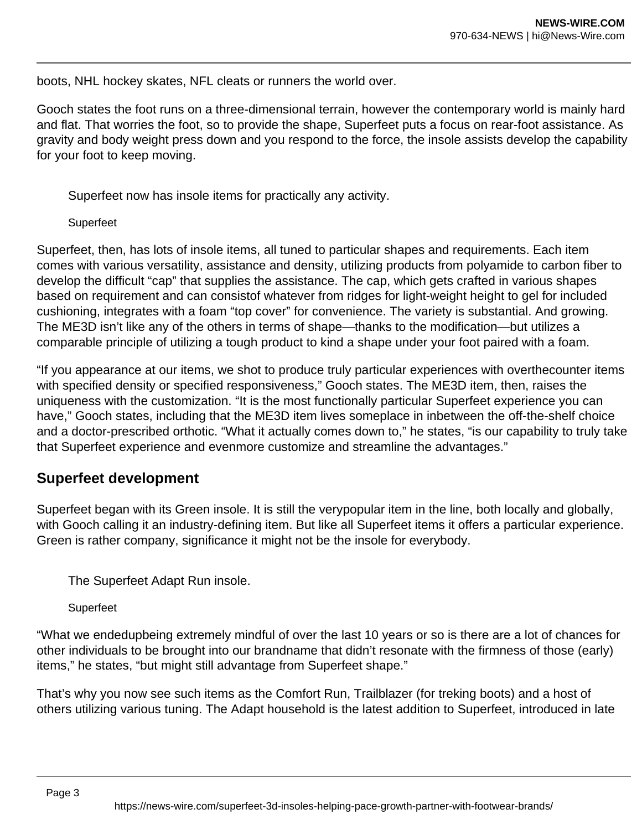boots, NHL hockey skates, NFL cleats or runners the world over.

Gooch states the foot runs on a three-dimensional terrain, however the contemporary world is mainly hard and flat. That worries the foot, so to provide the shape, Superfeet puts a focus on rear-foot assistance. As gravity and body weight press down and you respond to the force, the insole assists develop the capability for your foot to keep moving.

Superfeet now has insole items for practically any activity.

#### Superfeet

Superfeet, then, has lots of insole items, all tuned to particular shapes and requirements. Each item comes with various versatility, assistance and density, utilizing products from polyamide to carbon fiber to develop the difficult "cap" that supplies the assistance. The cap, which gets crafted in various shapes based on requirement and can consistof whatever from ridges for light-weight height to gel for included cushioning, integrates with a foam "top cover" for convenience. The variety is substantial. And growing. The ME3D isn't like any of the others in terms of shape—thanks to the modification—but utilizes a comparable principle of utilizing a tough product to kind a shape under your foot paired with a foam.

"If you appearance at our items, we shot to produce truly particular experiences with overthecounter items with specified density or specified responsiveness," Gooch states. The ME3D item, then, raises the uniqueness with the customization. "It is the most functionally particular Superfeet experience you can have," Gooch states, including that the ME3D item lives someplace in inbetween the off-the-shelf choice and a doctor-prescribed orthotic. "What it actually comes down to," he states, "is our capability to truly take that Superfeet experience and evenmore customize and streamline the advantages."

# **Superfeet development**

Superfeet began with its Green insole. It is still the verypopular item in the line, both locally and globally, with Gooch calling it an industry-defining item. But like all Superfeet items it offers a particular experience. Green is rather company, significance it might not be the insole for everybody.

The Superfeet Adapt Run insole.

Superfeet

"What we endedupbeing extremely mindful of over the last 10 years or so is there are a lot of chances for other individuals to be brought into our brandname that didn't resonate with the firmness of those (early) items," he states, "but might still advantage from Superfeet shape."

That's why you now see such items as the Comfort Run, Trailblazer (for treking boots) and a host of others utilizing various tuning. The Adapt household is the latest addition to Superfeet, introduced in late